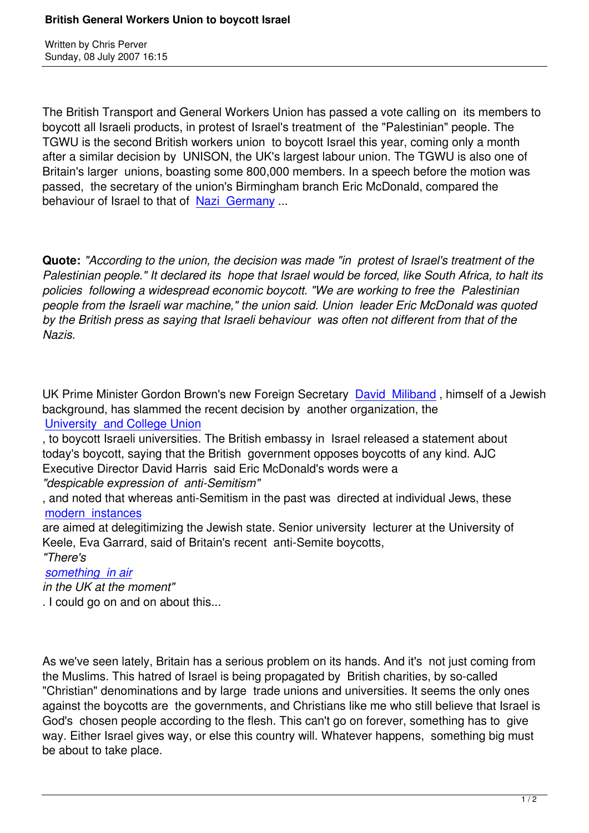Written by Christian by Christian by Christian by Christian by Christian by Christian by Chris Perus

The British Transport and General Workers Union has passed a vote calling on its members to boycott all Israeli products, in protest of Israel's treatment of the "Palestinian" people. The TGWU is the second British workers union to boycott Israel this year, coming only a month after a similar decision by UNISON, the UK's largest labour union. The TGWU is also one of Britain's larger unions, boasting some 800,000 members. In a speech before the motion was passed, the secretary of the union's Birmingham branch Eric McDonald, compared the behaviour of Israel to that of Nazi Germany ...

**Quote:** *"According to the uni[on, the decision](http://web.israelinsider.com/Articles/AntiSemi/11651.htm) was made "in protest of Israel's treatment of the Palestinian people." It declared its hope that Israel would be forced, like South Africa, to halt its policies following a widespread economic boycott. "We are working to free the Palestinian people from the Israeli war machine," the union said. Union leader Eric McDonald was quoted by the British press as saying that Israeli behaviour was often not different from that of the Nazis.*

UK Prime Minister Gordon Brown's new Foreign Secretary David Miliband, himself of a Jewish background, has slammed the recent decision by another organization, the University and College Union

, to boycott Israeli universities. The British embassy in Isra[el released a sta](http://www.ynetnews.com/articles/0,7340,L-3422041,00.html)tement about today's boycott, saying that the British government opposes boycotts of any kind. AJC [Executive Director David Harri](may07.html#5-30-3)s said Eric McDonald's words were a

## *"despicable expression of anti-Semitism"*

, and noted that whereas anti-Semitism in the past was directed at individual Jews, these modern instances

are aimed at delegitimizing the Jewish state. Senior university lecturer at the University of Keele, Eva Garrard, said of Britain's recent anti-Semite boycotts, *["There](may07.html#5-26-1)'[s](may07.html#5-26-1)* 

## *something in air*

*in the UK at the moment"* . I could go on and on about this...

As we've seen lately, Britain has a serious problem on its hands. And it's not just coming from the Muslims. This hatred of Israel is being propagated by British charities, by so-called "Christian" denominations and by large trade unions and universities. It seems the only ones against the boycotts are the governments, and Christians like me who still believe that Israel is God's chosen people according to the flesh. This can't go on forever, something has to give way. Either Israel gives way, or else this country will. Whatever happens, something big must be about to take place.